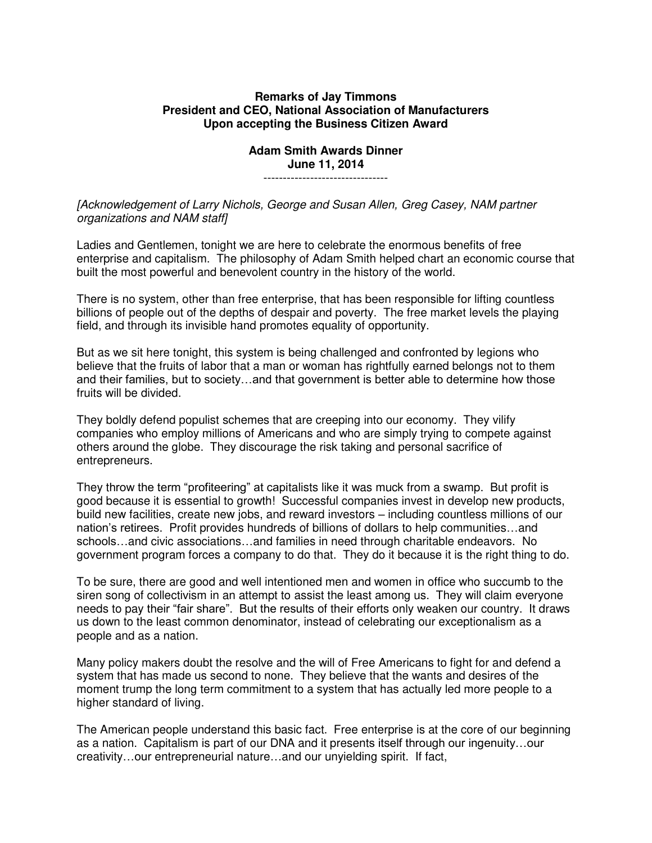## **Remarks of Jay Timmons President and CEO, National Association of Manufacturers Upon accepting the Business Citizen Award**

## **Adam Smith Awards Dinner June 11, 2014**

--------------------------------

*[Acknowledgement of Larry Nichols, George and Susan Allen, Greg Casey, NAM partner organizations and NAM staff]* 

Ladies and Gentlemen, tonight we are here to celebrate the enormous benefits of free enterprise and capitalism. The philosophy of Adam Smith helped chart an economic course that built the most powerful and benevolent country in the history of the world.

There is no system, other than free enterprise, that has been responsible for lifting countless billions of people out of the depths of despair and poverty. The free market levels the playing field, and through its invisible hand promotes equality of opportunity.

But as we sit here tonight, this system is being challenged and confronted by legions who believe that the fruits of labor that a man or woman has rightfully earned belongs not to them and their families, but to society…and that government is better able to determine how those fruits will be divided.

They boldly defend populist schemes that are creeping into our economy. They vilify companies who employ millions of Americans and who are simply trying to compete against others around the globe. They discourage the risk taking and personal sacrifice of entrepreneurs.

They throw the term "profiteering" at capitalists like it was muck from a swamp. But profit is good because it is essential to growth! Successful companies invest in develop new products, build new facilities, create new jobs, and reward investors – including countless millions of our nation's retirees. Profit provides hundreds of billions of dollars to help communities…and schools…and civic associations…and families in need through charitable endeavors. No government program forces a company to do that. They do it because it is the right thing to do.

To be sure, there are good and well intentioned men and women in office who succumb to the siren song of collectivism in an attempt to assist the least among us. They will claim everyone needs to pay their "fair share". But the results of their efforts only weaken our country. It draws us down to the least common denominator, instead of celebrating our exceptionalism as a people and as a nation.

Many policy makers doubt the resolve and the will of Free Americans to fight for and defend a system that has made us second to none. They believe that the wants and desires of the moment trump the long term commitment to a system that has actually led more people to a higher standard of living.

The American people understand this basic fact. Free enterprise is at the core of our beginning as a nation. Capitalism is part of our DNA and it presents itself through our ingenuity…our creativity…our entrepreneurial nature…and our unyielding spirit. If fact,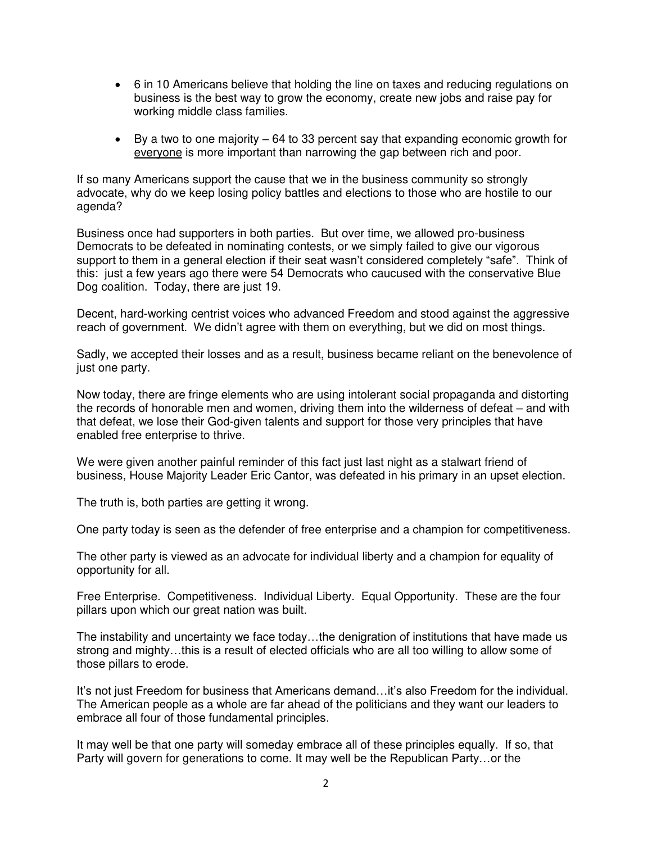- 6 in 10 Americans believe that holding the line on taxes and reducing regulations on business is the best way to grow the economy, create new jobs and raise pay for working middle class families.
- By a two to one majority 64 to 33 percent say that expanding economic growth for everyone is more important than narrowing the gap between rich and poor.

If so many Americans support the cause that we in the business community so strongly advocate, why do we keep losing policy battles and elections to those who are hostile to our agenda?

Business once had supporters in both parties. But over time, we allowed pro-business Democrats to be defeated in nominating contests, or we simply failed to give our vigorous support to them in a general election if their seat wasn't considered completely "safe". Think of this: just a few years ago there were 54 Democrats who caucused with the conservative Blue Dog coalition. Today, there are just 19.

Decent, hard-working centrist voices who advanced Freedom and stood against the aggressive reach of government. We didn't agree with them on everything, but we did on most things.

Sadly, we accepted their losses and as a result, business became reliant on the benevolence of just one party.

Now today, there are fringe elements who are using intolerant social propaganda and distorting the records of honorable men and women, driving them into the wilderness of defeat – and with that defeat, we lose their God-given talents and support for those very principles that have enabled free enterprise to thrive.

We were given another painful reminder of this fact just last night as a stalwart friend of business, House Majority Leader Eric Cantor, was defeated in his primary in an upset election.

The truth is, both parties are getting it wrong.

One party today is seen as the defender of free enterprise and a champion for competitiveness.

The other party is viewed as an advocate for individual liberty and a champion for equality of opportunity for all.

Free Enterprise. Competitiveness. Individual Liberty. Equal Opportunity. These are the four pillars upon which our great nation was built.

The instability and uncertainty we face today…the denigration of institutions that have made us strong and mighty…this is a result of elected officials who are all too willing to allow some of those pillars to erode.

It's not just Freedom for business that Americans demand…it's also Freedom for the individual. The American people as a whole are far ahead of the politicians and they want our leaders to embrace all four of those fundamental principles.

It may well be that one party will someday embrace all of these principles equally. If so, that Party will govern for generations to come. It may well be the Republican Party…or the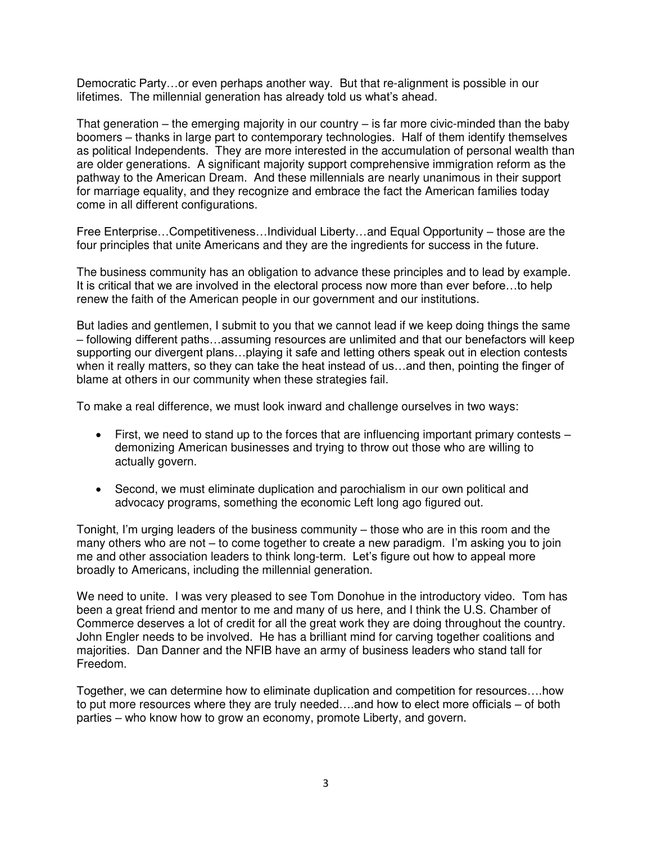Democratic Party…or even perhaps another way. But that re-alignment is possible in our lifetimes. The millennial generation has already told us what's ahead.

That generation – the emerging majority in our country – is far more civic-minded than the baby boomers – thanks in large part to contemporary technologies. Half of them identify themselves as political Independents. They are more interested in the accumulation of personal wealth than are older generations. A significant majority support comprehensive immigration reform as the pathway to the American Dream. And these millennials are nearly unanimous in their support for marriage equality, and they recognize and embrace the fact the American families today come in all different configurations.

Free Enterprise…Competitiveness…Individual Liberty…and Equal Opportunity – those are the four principles that unite Americans and they are the ingredients for success in the future.

The business community has an obligation to advance these principles and to lead by example. It is critical that we are involved in the electoral process now more than ever before…to help renew the faith of the American people in our government and our institutions.

But ladies and gentlemen, I submit to you that we cannot lead if we keep doing things the same – following different paths…assuming resources are unlimited and that our benefactors will keep supporting our divergent plans…playing it safe and letting others speak out in election contests when it really matters, so they can take the heat instead of us…and then, pointing the finger of blame at others in our community when these strategies fail.

To make a real difference, we must look inward and challenge ourselves in two ways:

- First, we need to stand up to the forces that are influencing important primary contests demonizing American businesses and trying to throw out those who are willing to actually govern.
- Second, we must eliminate duplication and parochialism in our own political and advocacy programs, something the economic Left long ago figured out.

Tonight, I'm urging leaders of the business community – those who are in this room and the many others who are not – to come together to create a new paradigm. I'm asking you to join me and other association leaders to think long-term. Let's figure out how to appeal more broadly to Americans, including the millennial generation.

We need to unite. I was very pleased to see Tom Donohue in the introductory video. Tom has been a great friend and mentor to me and many of us here, and I think the U.S. Chamber of Commerce deserves a lot of credit for all the great work they are doing throughout the country. John Engler needs to be involved. He has a brilliant mind for carving together coalitions and majorities. Dan Danner and the NFIB have an army of business leaders who stand tall for Freedom.

Together, we can determine how to eliminate duplication and competition for resources….how to put more resources where they are truly needed….and how to elect more officials – of both parties – who know how to grow an economy, promote Liberty, and govern.